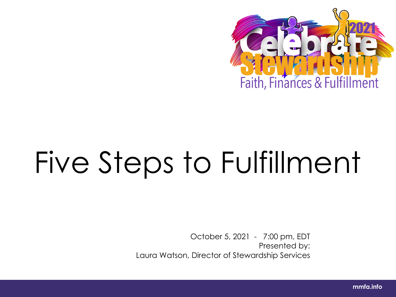

# Five Steps to Fulfillment

October 5, 2021 - 7:00 pm, EDT Presented by: Laura Watson, Director of Stewardship Services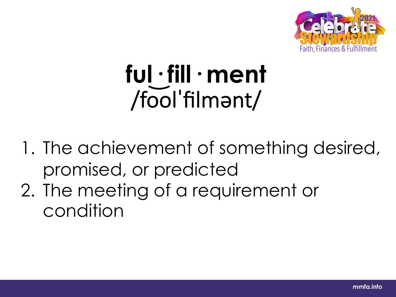

# **ful· fill· ment** /fo ͝olˈfilmənt/

- 1. The achievement of something desired, promised, or predicted
- 2. The meeting of a requirement or condition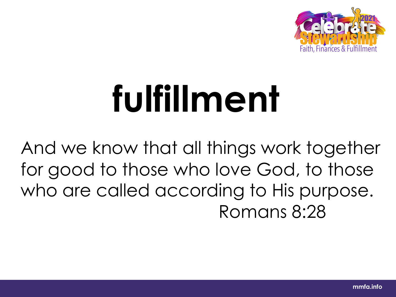

# **fulfillment**

And we know that all things work together for good to those who love God, to those who are called according to His purpose. Romans 8:28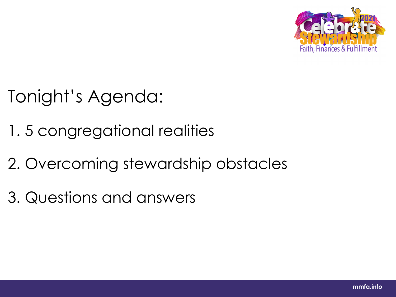

# Tonight's Agenda:

- 1. 5 congregational realities
- 2. Overcoming stewardship obstacles
- 3. Questions and answers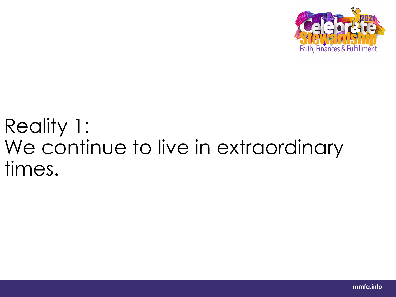

# Reality 1: We continue to live in extraordinary times.

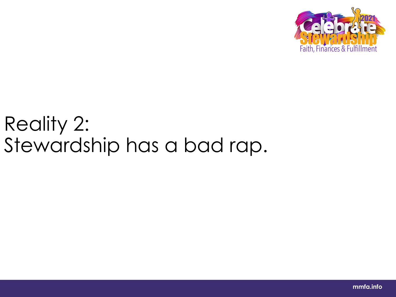

# Reality 2: Stewardship has a bad rap.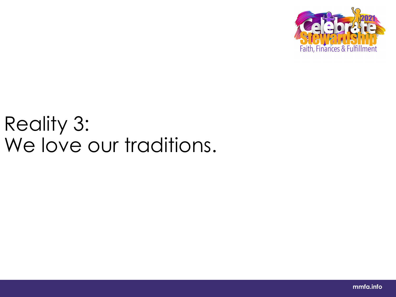

# Reality 3: We love our traditions.

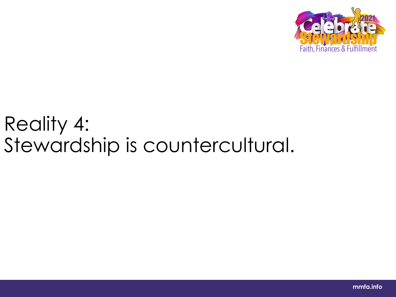

# Reality 4: Stewardship is countercultural.

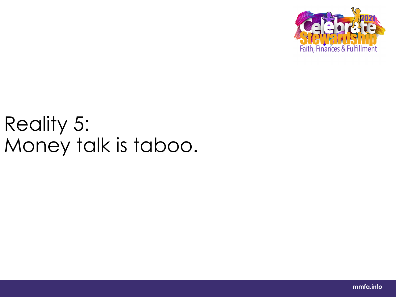

# Reality 5: Money talk is taboo.

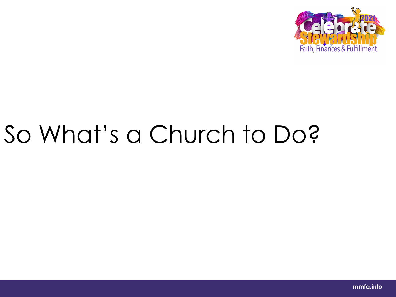

# So What's a Church to Do?

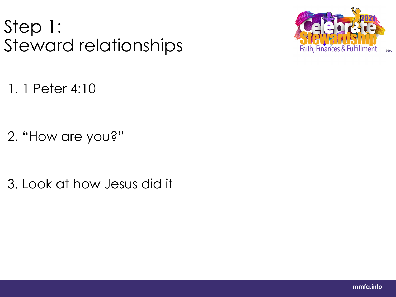# Step 1: Steward relationships



1. 1 Peter 4:10

2. "How are you?"

3. Look at how Jesus did it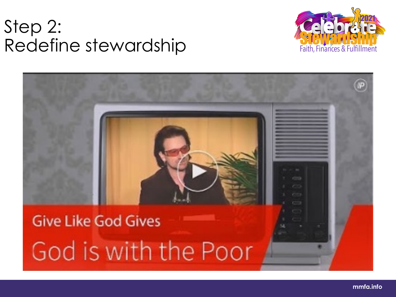### Step 2: Redefine stewardship



# **Give Like God Gives** God is with the Poor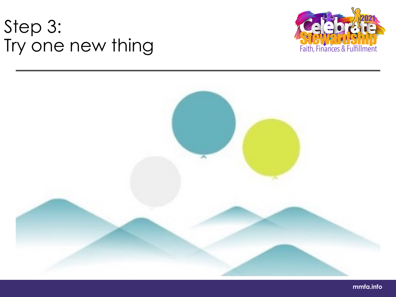# Step 3: Try one new thing





**mmfa.info**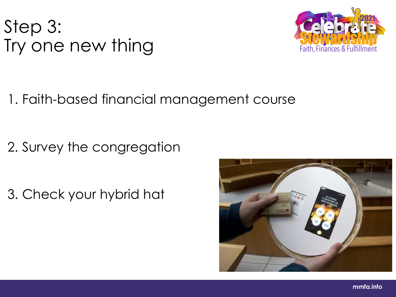# Step 3: Try one new thing



### 1. Faith-based financial management course

2. Survey the congregation

3. Check your hybrid hat

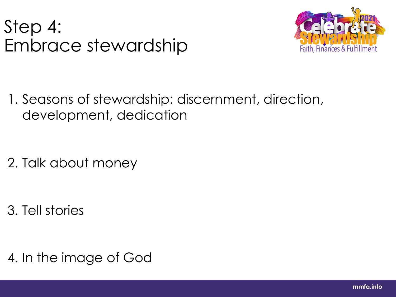### Step 4: Embrace stewardship



1. Seasons of stewardship: discernment, direction, development, dedication

2. Talk about money

3. Tell stories

4. In the image of God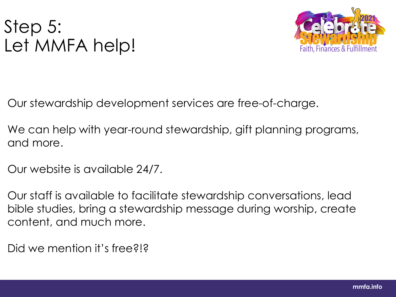# Step 5: Let MMFA help!



Our stewardship development services are free-of-charge.

We can help with year-round stewardship, gift planning programs, and more.

Our website is available 24/7.

Our staff is available to facilitate stewardship conversations, lead bible studies, bring a stewardship message during worship, create content, and much more.

Did we mention it's free?!?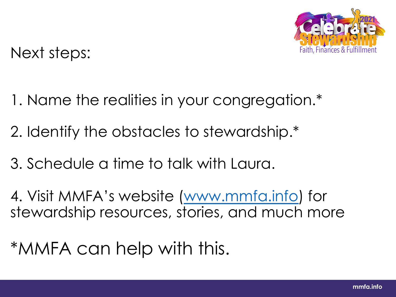

Next steps:

- 1. Name the realities in your congregation.\*
- 2. Identify the obstacles to stewardship.\*
- 3. Schedule a time to talk with Laura.

4. Visit MMFA's website (www.mmfa.info) for stewardship resources, stories, and much more

\*MMFA can help with this.